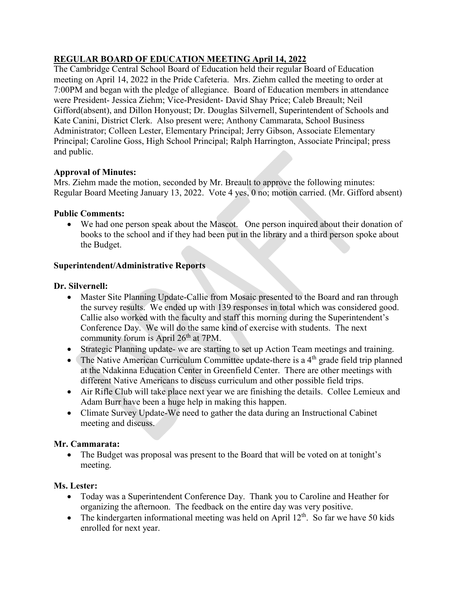# **REGULAR BOARD OF EDUCATION MEETING April 14, 2022**

The Cambridge Central School Board of Education held their regular Board of Education meeting on April 14, 2022 in the Pride Cafeteria. Mrs. Ziehm called the meeting to order at 7:00PM and began with the pledge of allegiance. Board of Education members in attendance were President- Jessica Ziehm; Vice-President- David Shay Price; Caleb Breault; Neil Gifford(absent), and Dillon Honyoust; Dr. Douglas Silvernell, Superintendent of Schools and Kate Canini, District Clerk. Also present were; Anthony Cammarata, School Business Administrator; Colleen Lester, Elementary Principal; Jerry Gibson, Associate Elementary Principal; Caroline Goss, High School Principal; Ralph Harrington, Associate Principal; press and public.

## **Approval of Minutes:**

Mrs. Ziehm made the motion, seconded by Mr. Breault to approve the following minutes: Regular Board Meeting January 13, 2022. Vote 4 yes, 0 no; motion carried. (Mr. Gifford absent)

## **Public Comments:**

• We had one person speak about the Mascot. One person inquired about their donation of books to the school and if they had been put in the library and a third person spoke about the Budget.

## **Superintendent/Administrative Reports**

## **Dr. Silvernell:**

- Master Site Planning Update-Callie from Mosaic presented to the Board and ran through the survey results. We ended up with 139 responses in total which was considered good. Callie also worked with the faculty and staff this morning during the Superintendent's Conference Day. We will do the same kind of exercise with students. The next community forum is April 26<sup>th</sup> at 7PM.
- Strategic Planning update- we are starting to set up Action Team meetings and training.
- The Native American Curriculum Committee update-there is a  $4<sup>th</sup>$  grade field trip planned at the Ndakinna Education Center in Greenfield Center. There are other meetings with different Native Americans to discuss curriculum and other possible field trips.
- Air Rifle Club will take place next year we are finishing the details. Collee Lemieux and Adam Burr have been a huge help in making this happen.
- Climate Survey Update-We need to gather the data during an Instructional Cabinet meeting and discuss.

### **Mr. Cammarata:**

• The Budget was proposal was present to the Board that will be voted on at tonight's meeting.

### **Ms. Lester:**

- Today was a Superintendent Conference Day. Thank you to Caroline and Heather for organizing the afternoon. The feedback on the entire day was very positive.
- The kindergarten informational meeting was held on April  $12<sup>th</sup>$ . So far we have 50 kids enrolled for next year.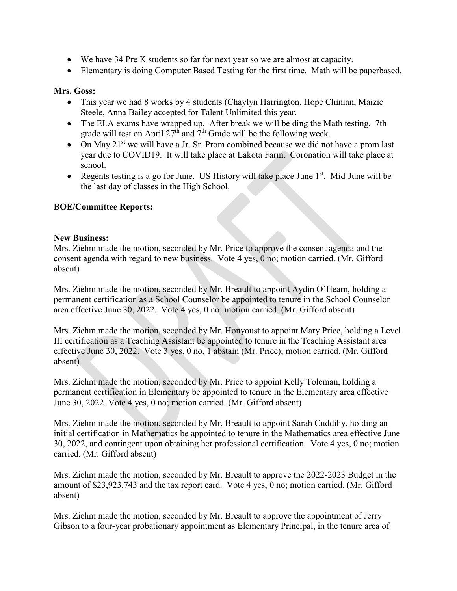- We have 34 Pre K students so far for next year so we are almost at capacity.
- Elementary is doing Computer Based Testing for the first time. Math will be paperbased.

#### **Mrs. Goss:**

- This year we had 8 works by 4 students (Chaylyn Harrington, Hope Chinian, Maizie Steele, Anna Bailey accepted for Talent Unlimited this year.
- The ELA exams have wrapped up. After break we will be ding the Math testing. 7th grade will test on April  $27<sup>th</sup>$  and  $7<sup>th</sup>$  Grade will be the following week.
- On May  $21^{st}$  we will have a Jr. Sr. Prom combined because we did not have a prom last year due to COVID19. It will take place at Lakota Farm. Coronation will take place at school.
- Regents testing is a go for June. US History will take place June  $1<sup>st</sup>$ . Mid-June will be the last day of classes in the High School.

### **BOE/Committee Reports:**

#### **New Business:**

Mrs. Ziehm made the motion, seconded by Mr. Price to approve the consent agenda and the consent agenda with regard to new business. Vote 4 yes, 0 no; motion carried. (Mr. Gifford absent)

Mrs. Ziehm made the motion, seconded by Mr. Breault to appoint Aydin O'Hearn, holding a permanent certification as a School Counselor be appointed to tenure in the School Counselor area effective June 30, 2022. Vote 4 yes, 0 no; motion carried. (Mr. Gifford absent)

Mrs. Ziehm made the motion, seconded by Mr. Honyoust to appoint Mary Price, holding a Level III certification as a Teaching Assistant be appointed to tenure in the Teaching Assistant area effective June 30, 2022. Vote 3 yes, 0 no, 1 abstain (Mr. Price); motion carried. (Mr. Gifford absent)

Mrs. Ziehm made the motion, seconded by Mr. Price to appoint Kelly Toleman, holding a permanent certification in Elementary be appointed to tenure in the Elementary area effective June 30, 2022. Vote 4 yes, 0 no; motion carried. (Mr. Gifford absent)

Mrs. Ziehm made the motion, seconded by Mr. Breault to appoint Sarah Cuddihy, holding an initial certification in Mathematics be appointed to tenure in the Mathematics area effective June 30, 2022, and contingent upon obtaining her professional certification. Vote 4 yes, 0 no; motion carried. (Mr. Gifford absent)

Mrs. Ziehm made the motion, seconded by Mr. Breault to approve the 2022-2023 Budget in the amount of \$23,923,743 and the tax report card. Vote 4 yes, 0 no; motion carried. (Mr. Gifford absent)

Mrs. Ziehm made the motion, seconded by Mr. Breault to approve the appointment of Jerry Gibson to a four-year probationary appointment as Elementary Principal, in the tenure area of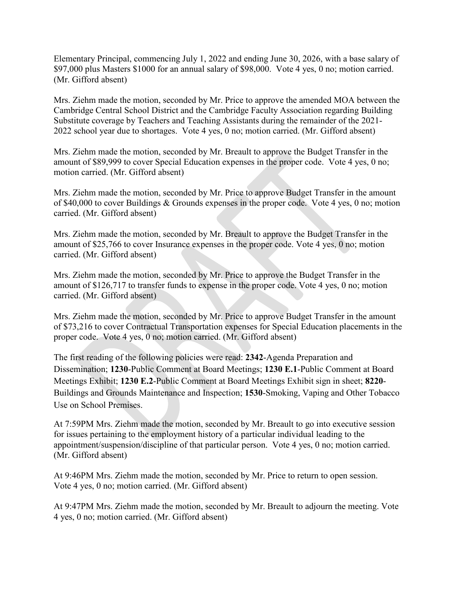Elementary Principal, commencing July 1, 2022 and ending June 30, 2026, with a base salary of \$97,000 plus Masters \$1000 for an annual salary of \$98,000. Vote 4 yes, 0 no; motion carried. (Mr. Gifford absent)

Mrs. Ziehm made the motion, seconded by Mr. Price to approve the amended MOA between the Cambridge Central School District and the Cambridge Faculty Association regarding Building Substitute coverage by Teachers and Teaching Assistants during the remainder of the 2021- 2022 school year due to shortages. Vote 4 yes, 0 no; motion carried. (Mr. Gifford absent)

Mrs. Ziehm made the motion, seconded by Mr. Breault to approve the Budget Transfer in the amount of \$89,999 to cover Special Education expenses in the proper code. Vote 4 yes, 0 no; motion carried. (Mr. Gifford absent)

Mrs. Ziehm made the motion, seconded by Mr. Price to approve Budget Transfer in the amount of \$40,000 to cover Buildings & Grounds expenses in the proper code. Vote 4 yes, 0 no; motion carried. (Mr. Gifford absent)

Mrs. Ziehm made the motion, seconded by Mr. Breault to approve the Budget Transfer in the amount of \$25,766 to cover Insurance expenses in the proper code. Vote 4 yes, 0 no; motion carried. (Mr. Gifford absent)

Mrs. Ziehm made the motion, seconded by Mr. Price to approve the Budget Transfer in the amount of \$126,717 to transfer funds to expense in the proper code. Vote 4 yes, 0 no; motion carried. (Mr. Gifford absent)

Mrs. Ziehm made the motion, seconded by Mr. Price to approve Budget Transfer in the amount of \$73,216 to cover Contractual Transportation expenses for Special Education placements in the proper code. Vote 4 yes, 0 no; motion carried. (Mr. Gifford absent)

The first reading of the following policies were read: **2342**-Agenda Preparation and Dissemination; **1230**-Public Comment at Board Meetings; **1230 E.1**-Public Comment at Board Meetings Exhibit; **1230 E.2**-Public Comment at Board Meetings Exhibit sign in sheet; **8220**- Buildings and Grounds Maintenance and Inspection; **1530**-Smoking, Vaping and Other Tobacco Use on School Premises.

At 7:59PM Mrs. Ziehm made the motion, seconded by Mr. Breault to go into executive session for issues pertaining to the employment history of a particular individual leading to the appointment/suspension/discipline of that particular person. Vote 4 yes, 0 no; motion carried. (Mr. Gifford absent)

At 9:46PM Mrs. Ziehm made the motion, seconded by Mr. Price to return to open session. Vote 4 yes, 0 no; motion carried. (Mr. Gifford absent)

At 9:47PM Mrs. Ziehm made the motion, seconded by Mr. Breault to adjourn the meeting. Vote 4 yes, 0 no; motion carried. (Mr. Gifford absent)